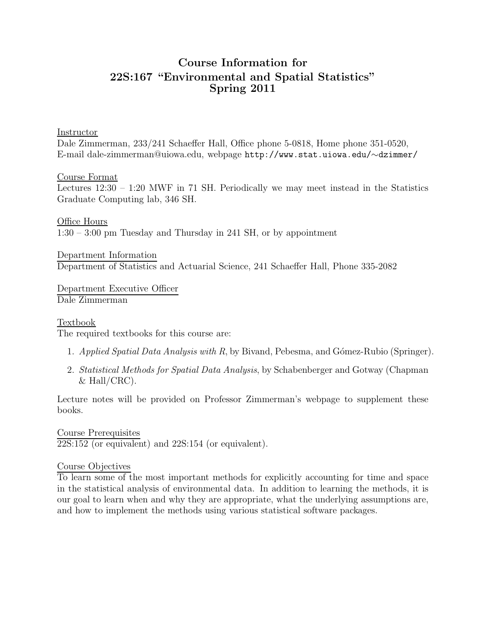# Course Information for 22S:167 "Environmental and Spatial Statistics" Spring 2011

#### Instructor

Dale Zimmerman, 233/241 Schaeffer Hall, Office phone 5-0818, Home phone 351-0520, E-mail dale-zimmerman@uiowa.edu, webpage http://www.stat.uiowa.edu/∼dzimmer/

#### Course Format

Lectures 12:30 – 1:20 MWF in 71 SH. Periodically we may meet instead in the Statistics Graduate Computing lab, 346 SH.

Office Hours 1:30 – 3:00 pm Tuesday and Thursday in 241 SH, or by appointment

Department Information Department of Statistics and Actuarial Science, 241 Schaeffer Hall, Phone 335-2082

Department Executive Officer Dale Zimmerman

### **Textbook**

The required textbooks for this course are:

- 1. Applied Spatial Data Analysis with R, by Bivand, Pebesma, and Gómez-Rubio (Springer).
- 2. Statistical Methods for Spatial Data Analysis, by Schabenberger and Gotway (Chapman  $&$  Hall/CRC).

Lecture notes will be provided on Professor Zimmerman's webpage to supplement these books.

Course Prerequisites 22S:152 (or equivalent) and 22S:154 (or equivalent).

### Course Objectives

To learn some of the most important methods for explicitly accounting for time and space in the statistical analysis of environmental data. In addition to learning the methods, it is our goal to learn when and why they are appropriate, what the underlying assumptions are, and how to implement the methods using various statistical software packages.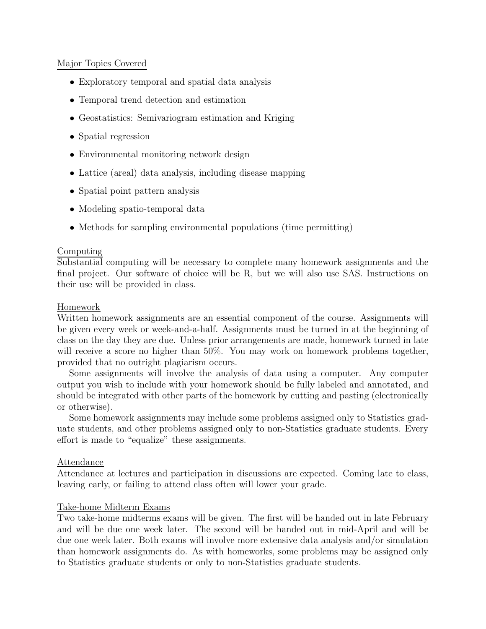### Major Topics Covered

- Exploratory temporal and spatial data analysis
- Temporal trend detection and estimation
- Geostatistics: Semivariogram estimation and Kriging
- Spatial regression
- Environmental monitoring network design
- Lattice (areal) data analysis, including disease mapping
- Spatial point pattern analysis
- Modeling spatio-temporal data
- Methods for sampling environmental populations (time permitting)

### Computing

Substantial computing will be necessary to complete many homework assignments and the final project. Our software of choice will be R, but we will also use SAS. Instructions on their use will be provided in class.

### Homework

Written homework assignments are an essential component of the course. Assignments will be given every week or week-and-a-half. Assignments must be turned in at the beginning of class on the day they are due. Unless prior arrangements are made, homework turned in late will receive a score no higher than  $50\%$ . You may work on homework problems together, provided that no outright plagiarism occurs.

Some assignments will involve the analysis of data using a computer. Any computer output you wish to include with your homework should be fully labeled and annotated, and should be integrated with other parts of the homework by cutting and pasting (electronically or otherwise).

Some homework assignments may include some problems assigned only to Statistics graduate students, and other problems assigned only to non-Statistics graduate students. Every effort is made to "equalize" these assignments.

### Attendance

Attendance at lectures and participation in discussions are expected. Coming late to class, leaving early, or failing to attend class often will lower your grade.

# Take-home Midterm Exams

Two take-home midterms exams will be given. The first will be handed out in late February and will be due one week later. The second will be handed out in mid-April and will be due one week later. Both exams will involve more extensive data analysis and/or simulation than homework assignments do. As with homeworks, some problems may be assigned only to Statistics graduate students or only to non-Statistics graduate students.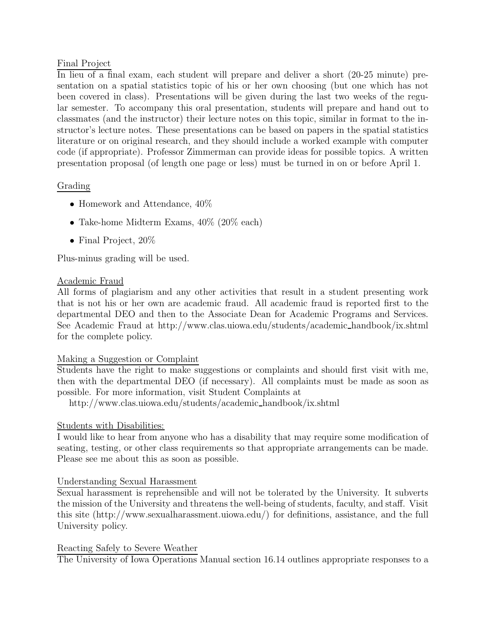# Final Project

In lieu of a final exam, each student will prepare and deliver a short (20-25 minute) presentation on a spatial statistics topic of his or her own choosing (but one which has not been covered in class). Presentations will be given during the last two weeks of the regular semester. To accompany this oral presentation, students will prepare and hand out to classmates (and the instructor) their lecture notes on this topic, similar in format to the instructor's lecture notes. These presentations can be based on papers in the spatial statistics literature or on original research, and they should include a worked example with computer code (if appropriate). Professor Zimmerman can provide ideas for possible topics. A written presentation proposal (of length one page or less) must be turned in on or before April 1.

# Grading

- Homework and Attendance,  $40\%$
- Take-home Midterm Exams, 40% (20% each)
- Final Project, 20%

Plus-minus grading will be used.

### Academic Fraud

All forms of plagiarism and any other activities that result in a student presenting work that is not his or her own are academic fraud. All academic fraud is reported first to the departmental DEO and then to the Associate Dean for Academic Programs and Services. See Academic Fraud at http://www.clas.uiowa.edu/students/academic handbook/ix.shtml for the complete policy.

### Making a Suggestion or Complaint

Students have the right to make suggestions or complaints and should first visit with me, then with the departmental DEO (if necessary). All complaints must be made as soon as possible. For more information, visit Student Complaints at

http://www.clas.uiowa.edu/students/academic handbook/ix.shtml

# Students with Disabilities:

I would like to hear from anyone who has a disability that may require some modification of seating, testing, or other class requirements so that appropriate arrangements can be made. Please see me about this as soon as possible.

### Understanding Sexual Harassment

Sexual harassment is reprehensible and will not be tolerated by the University. It subverts the mission of the University and threatens the well-being of students, faculty, and staff. Visit this site (http://www.sexualharassment.uiowa.edu/) for definitions, assistance, and the full University policy.

### Reacting Safely to Severe Weather

The University of Iowa Operations Manual section 16.14 outlines appropriate responses to a